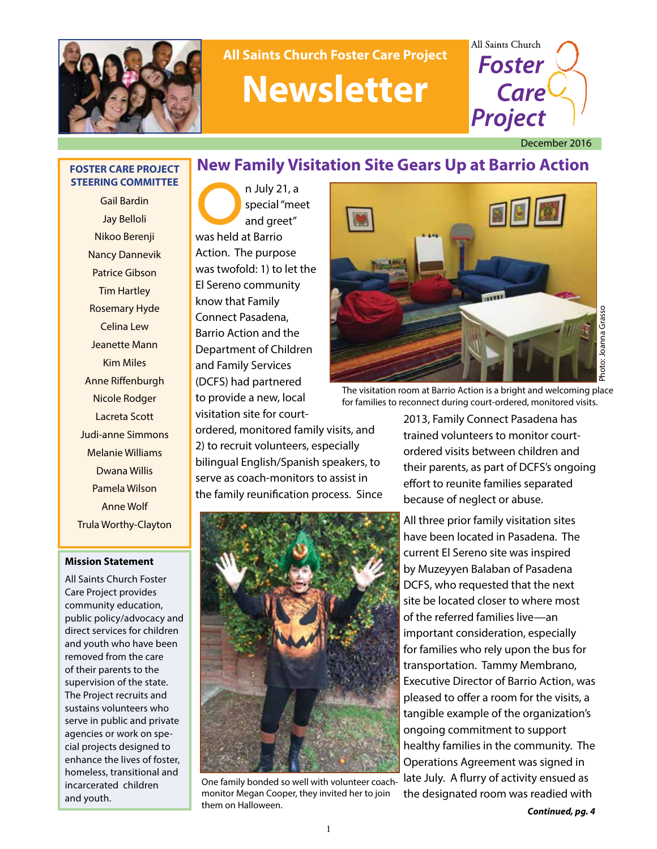

# **All Saints Church Foster Care Project Newsletter**



December 2016

#### **FOSTER CARE PROJECT STEERING COMMITTEE**

Gail Bardin Jay Belloli Nikoo Berenji Nancy Dannevik Patrice Gibson Tim Hartley Rosemary Hyde Celina Lew Jeanette Mann Kim Miles Anne Riffenburgh Nicole Rodger Lacreta Scott Judi-anne Simmons Melanie Williams Dwana Willis Pamela Wilson Anne Wolf Trula Worthy-Clayton

#### **Mission Statement**

All Saints Church Foster Care Project provides community education, public policy/advocacy and direct services for children and youth who have been removed from the care of their parents to the supervision of the state. The Project recruits and sustains volunteers who serve in public and private agencies or work on special projects designed to enhance the lives of foster, homeless, transitional and incarcerated children and youth.

**New Family Visitation Site Gears Up at Barrio Action**

STEERING COMMITTEE<br>
Jay Belloli<br>
Nikoo Berenji<br>
Was held at Barrio special "meet and greet" was held at Barrio Action. The purpose was twofold: 1) to let the El Sereno community know that Family Connect Pasadena, Barrio Action and the Department of Children and Family Services (DCFS) had partnered to provide a new, local visitation site for court-



The visitation room at Barrio Action is a bright and welcoming place for families to reconnect during court-ordered, monitored visits.

ordered, monitored family visits, and 2) to recruit volunteers, especially bilingual English/Spanish speakers, to serve as coach-monitors to assist in the family reunification process. Since



One family bonded so well with volunteer coachmonitor Megan Cooper, they invited her to join them on Halloween.

2013, Family Connect Pasadena has trained volunteers to monitor courtordered visits between children and their parents, as part of DCFS's ongoing effort to reunite families separated because of neglect or abuse.

All three prior family visitation sites have been located in Pasadena. The current El Sereno site was inspired by Muzeyyen Balaban of Pasadena DCFS, who requested that the next site be located closer to where most of the referred families live—an important consideration, especially for families who rely upon the bus for transportation. Tammy Membrano, Executive Director of Barrio Action, was pleased to offer a room for the visits, a tangible example of the organization's ongoing commitment to support healthy families in the community. The Operations Agreement was signed in late July. A flurry of activity ensued as the designated room was readied with

*Continued, pg. 4*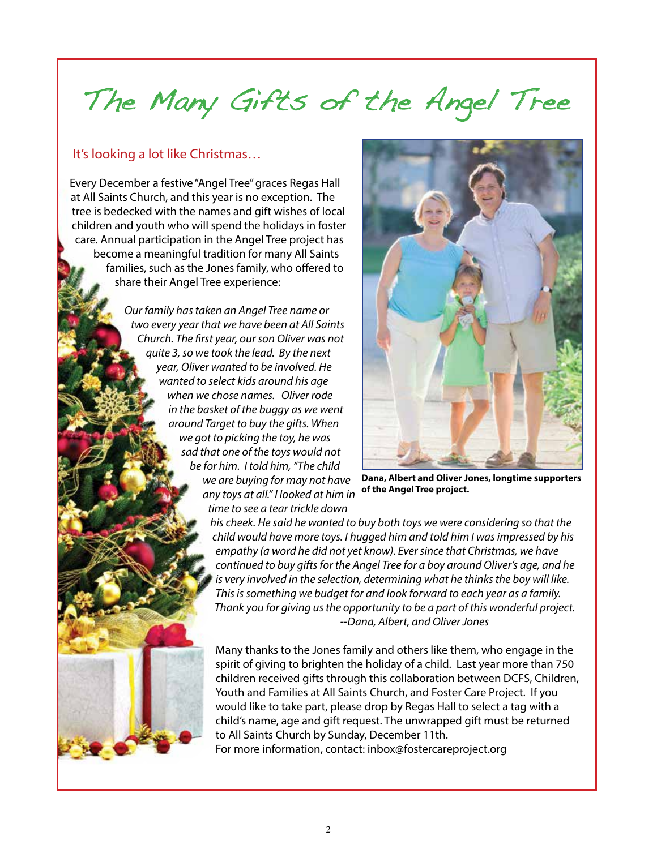# The Many Gifts of the Angel Tree

### It's looking a lot like Christmas…

Every December a festive "Angel Tree" graces Regas Hall at All Saints Church, and this year is no exception. The tree is bedecked with the names and gift wishes of local children and youth who will spend the holidays in foster care. Annual participation in the Angel Tree project has become a meaningful tradition for many All Saints families, such as the Jones family, who offered to share their Angel Tree experience:

> *Our family has taken an Angel Tree name or two every year that we have been at All Saints Church. The first year, our son Oliver was not quite 3, so we took the lead. By the next year, Oliver wanted to be involved. He wanted to select kids around his age when we chose names. Oliver rode in the basket of the buggy as we went around Target to buy the gifts. When we got to picking the toy, he was sad that one of the toys would not be for him. I told him, "The child we are buying for may not have any toys at all." I looked at him in time to see a tear trickle down*



**Dana, Albert and Oliver Jones, longtime supporters of the Angel Tree project.**

*his cheek. He said he wanted to buy both toys we were considering so that the child would have more toys. I hugged him and told him I was impressed by his empathy (a word he did not yet know). Ever since that Christmas, we have continued to buy gifts for the Angel Tree for a boy around Oliver's age, and he is very involved in the selection, determining what he thinks the boy will like. This is something we budget for and look forward to each year as a family. Thank you for giving us the opportunity to be a part of this wonderful project. --Dana, Albert, and Oliver Jones*

Many thanks to the Jones family and others like them, who engage in the spirit of giving to brighten the holiday of a child. Last year more than 750 children received gifts through this collaboration between DCFS, Children, Youth and Families at All Saints Church, and Foster Care Project. If you would like to take part, please drop by Regas Hall to select a tag with a child's name, age and gift request. The unwrapped gift must be returned to All Saints Church by Sunday, December 11th.

For more information, contact: inbox@fostercareproject.org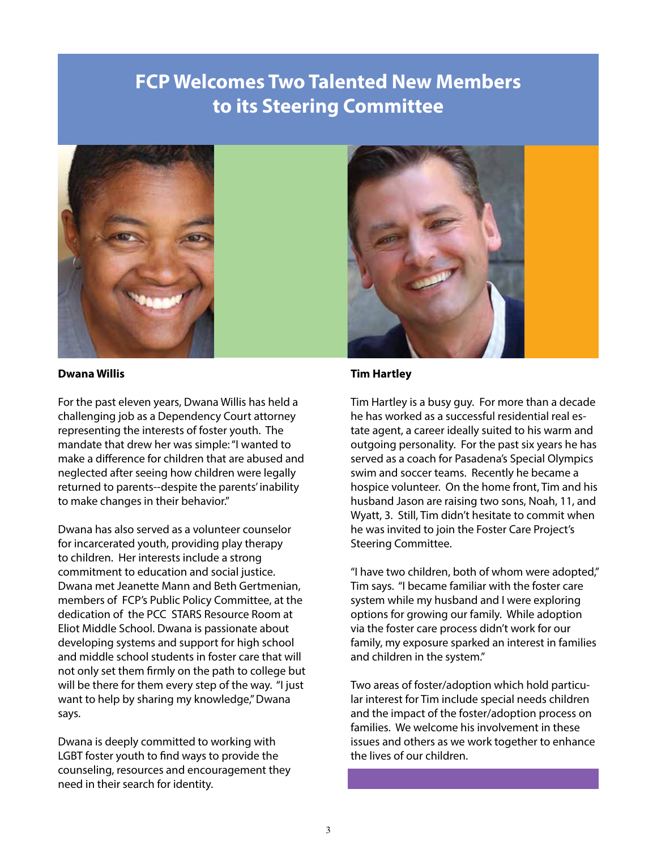## **FCP Welcomes Two Talented New Members to its Steering Committee**



#### **Dwana Willis**

For the past eleven years, Dwana Willis has held a challenging job as a Dependency Court attorney representing the interests of foster youth. The mandate that drew her was simple: "I wanted to make a difference for children that are abused and neglected after seeing how children were legally returned to parents--despite the parents' inability to make changes in their behavior."

Dwana has also served as a volunteer counselor for incarcerated youth, providing play therapy to children. Her interests include a strong commitment to education and social justice. Dwana met Jeanette Mann and Beth Gertmenian, members of FCP's Public Policy Committee, at the dedication of the PCC STARS Resource Room at Eliot Middle School. Dwana is passionate about developing systems and support for high school and middle school students in foster care that will not only set them firmly on the path to college but will be there for them every step of the way. "I just want to help by sharing my knowledge," Dwana says.

Dwana is deeply committed to working with LGBT foster youth to find ways to provide the counseling, resources and encouragement they need in their search for identity.



#### **Tim Hartley**

Tim Hartley is a busy guy. For more than a decade he has worked as a successful residential real estate agent, a career ideally suited to his warm and outgoing personality. For the past six years he has served as a coach for Pasadena's Special Olympics swim and soccer teams. Recently he became a hospice volunteer. On the home front, Tim and his husband Jason are raising two sons, Noah, 11, and Wyatt, 3. Still, Tim didn't hesitate to commit when he was invited to join the Foster Care Project's Steering Committee.

"I have two children, both of whom were adopted," Tim says. "I became familiar with the foster care system while my husband and I were exploring options for growing our family. While adoption via the foster care process didn't work for our family, my exposure sparked an interest in families and children in the system."

Two areas of foster/adoption which hold particular interest for Tim include special needs children and the impact of the foster/adoption process on families. We welcome his involvement in these issues and others as we work together to enhance the lives of our children.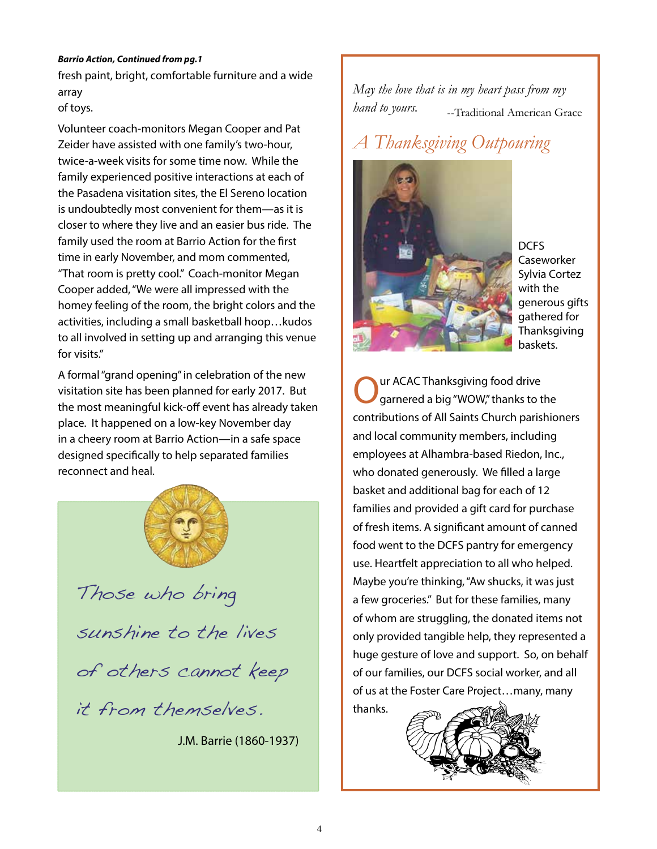#### *Barrio Action, Continued from pg.1*

fresh paint, bright, comfortable furniture and a wide array of toys.

Volunteer coach-monitors Megan Cooper and Pat Zeider have assisted with one family's two-hour, twice-a-week visits for some time now. While the family experienced positive interactions at each of the Pasadena visitation sites, the El Sereno location is undoubtedly most convenient for them—as it is closer to where they live and an easier bus ride. The family used the room at Barrio Action for the first time in early November, and mom commented, "That room is pretty cool." Coach-monitor Megan Cooper added, "We were all impressed with the homey feeling of the room, the bright colors and the activities, including a small basketball hoop…kudos to all involved in setting up and arranging this venue for visits."

A formal "grand opening" in celebration of the new visitation site has been planned for early 2017. But the most meaningful kick-off event has already taken place. It happened on a low-key November day in a cheery room at Barrio Action—in a safe space designed specifically to help separated families reconnect and heal.



Those who bring sunshine to the lives of others cannot keep it from themselves.

J.M. Barrie (1860-1937)

*May the love that is in my heart pass from my hand to yours.* --Traditional American Grace

# *A Thanksgiving Outpouring*



DCFS **Caseworker** Sylvia Cortez with the generous gifts gathered for Thanksgiving baskets.

**OURE ACAC Thanksgiving food drive**<br>
garnered a big "WOW," thanks to the contributions of All Saints Church parishioners and local community members, including employees at Alhambra-based Riedon, Inc., who donated generously. We filled a large basket and additional bag for each of 12 families and provided a gift card for purchase of fresh items. A significant amount of canned food went to the DCFS pantry for emergency use. Heartfelt appreciation to all who helped. Maybe you're thinking, "Aw shucks, it was just a few groceries." But for these families, many of whom are struggling, the donated items not only provided tangible help, they represented a huge gesture of love and support. So, on behalf of our families, our DCFS social worker, and all of us at the Foster Care Project…many, many thanks.

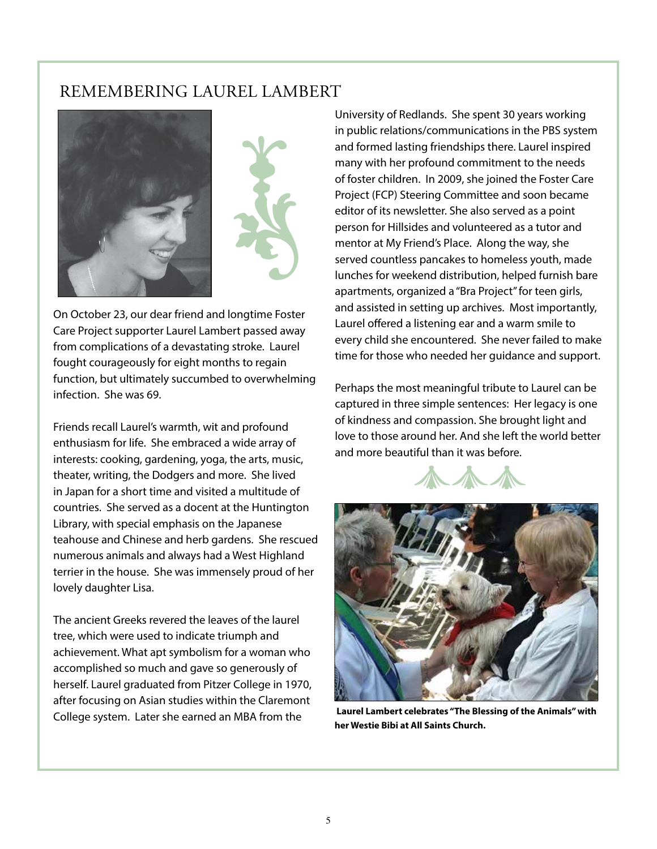## REMEMBERING LAUREL LAMBERT





On October 23, our dear friend and longtime Foster Care Project supporter Laurel Lambert passed away from complications of a devastating stroke. Laurel fought courageously for eight months to regain function, but ultimately succumbed to overwhelming infection. She was 69.

Friends recall Laurel's warmth, wit and profound enthusiasm for life. She embraced a wide array of interests: cooking, gardening, yoga, the arts, music, theater, writing, the Dodgers and more. She lived in Japan for a short time and visited a multitude of countries. She served as a docent at the Huntington Library, with special emphasis on the Japanese teahouse and Chinese and herb gardens. She rescued numerous animals and always had a West Highland terrier in the house. She was immensely proud of her lovely daughter Lisa.

The ancient Greeks revered the leaves of the laurel tree, which were used to indicate triumph and achievement. What apt symbolism for a woman who accomplished so much and gave so generously of herself. Laurel graduated from Pitzer College in 1970, after focusing on Asian studies within the Claremont College system. Later she earned an MBA from the

University of Redlands. She spent 30 years working in public relations/communications in the PBS system and formed lasting friendships there. Laurel inspired many with her profound commitment to the needs of foster children. In 2009, she joined the Foster Care Project (FCP) Steering Committee and soon became editor of its newsletter. She also served as a point person for Hillsides and volunteered as a tutor and mentor at My Friend's Place. Along the way, she served countless pancakes to homeless youth, made lunches for weekend distribution, helped furnish bare apartments, organized a "Bra Project" for teen girls, and assisted in setting up archives. Most importantly, Laurel offered a listening ear and a warm smile to every child she encountered. She never failed to make time for those who needed her guidance and support.

Perhaps the most meaningful tribute to Laurel can be captured in three simple sentences: Her legacy is one of kindness and compassion. She brought light and love to those around her. And she left the world better and more beautiful than it was before.





 **Laurel Lambert celebrates "The Blessing of the Animals" with her Westie Bibi at All Saints Church.**